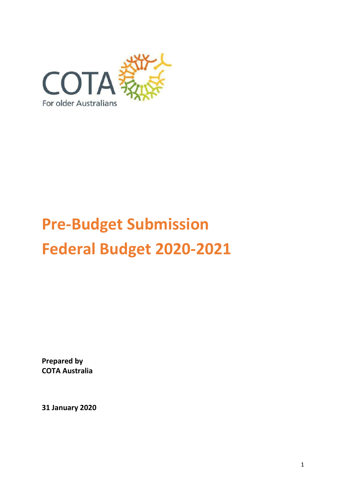

# **Pre-Budget Submission Federal Budget 2020-2021**

**Prepared by COTA Australia**

**31 January 2020**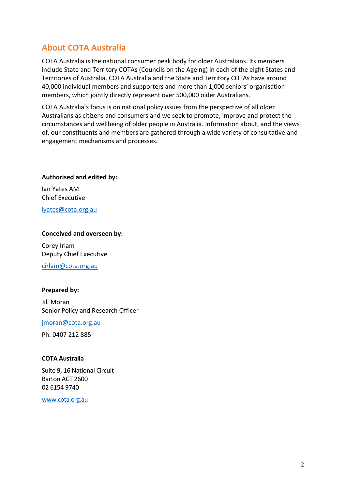# <span id="page-1-0"></span>**About COTA Australia**

COTA Australia is the national consumer peak body for older Australians. Its members include State and Territory COTAs (Councils on the Ageing) in each of the eight States and Territories of Australia. COTA Australia and the State and Territory COTAs have around 40,000 individual members and supporters and more than 1,000 seniors' organisation members, which jointly directly represent over 500,000 older Australians.

COTA Australia's focus is on national policy issues from the perspective of all older Australians as citizens and consumers and we seek to promote, improve and protect the circumstances and wellbeing of older people in Australia. Information about, and the views of, our constituents and members are gathered through a wide variety of consultative and engagement mechanisms and processes.

**Authorised and edited by:**

Ian Yates AM Chief Executive

[iyates@cota.org.au](mailto:iyates@cota.org.au)

#### **Conceived and overseen by:**

Corey Irlam Deputy Chief Executive

[cirlam@cota.org.au](mailto:cirlam@cota.org.au)

#### **Prepared by:**

Jill Moran Senior Policy and Research Officer

jmoran@cota.org.au

Ph: 0407 212 885

#### **COTA Australia**

Suite 9, 16 National Circuit Barton ACT 2600 02 6154 9740

[www.cota.org.au](http://www.cota.org.a/)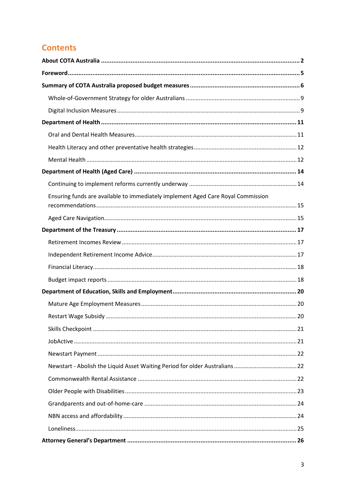# **Contents**

| Ensuring funds are available to immediately implement Aged Care Royal Commission |
|----------------------------------------------------------------------------------|
|                                                                                  |
|                                                                                  |
|                                                                                  |
|                                                                                  |
|                                                                                  |
|                                                                                  |
|                                                                                  |
|                                                                                  |
| 20                                                                               |
|                                                                                  |
|                                                                                  |
|                                                                                  |
| Newstart - Abolish the Liquid Asset Waiting Period for older Australians 22      |
|                                                                                  |
|                                                                                  |
|                                                                                  |
|                                                                                  |
|                                                                                  |
|                                                                                  |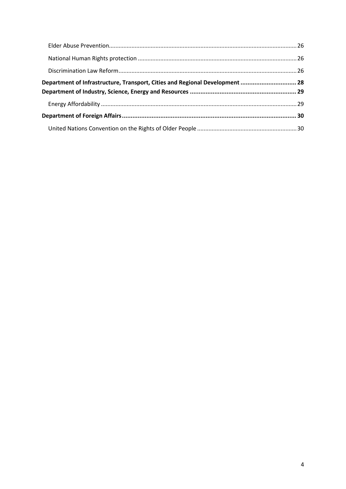| Department of Infrastructure, Transport, Cities and Regional Development  28 |  |
|------------------------------------------------------------------------------|--|
|                                                                              |  |
|                                                                              |  |
|                                                                              |  |
|                                                                              |  |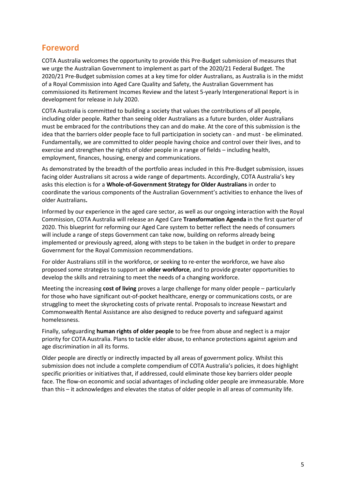# <span id="page-4-0"></span>**Foreword**

COTA Australia welcomes the opportunity to provide this Pre-Budget submission of measures that we urge the Australian Government to implement as part of the 2020/21 Federal Budget. The 2020/21 Pre-Budget submission comes at a key time for older Australians, as Australia is in the midst of a Royal Commission into Aged Care Quality and Safety, the Australian Government has commissioned its Retirement Incomes Review and the latest 5-yearly Intergenerational Report is in development for release in July 2020.

COTA Australia is committed to building a society that values the contributions of all people, including older people. Rather than seeing older Australians as a future burden, older Australians must be embraced for the contributions they can and do make. At the core of this submission is the idea that the barriers older people face to full participation in society can - and must - be eliminated. Fundamentally, we are committed to older people having choice and control over their lives, and to exercise and strengthen the rights of older people in a range of fields – including health, employment, finances, housing, energy and communications.

As demonstrated by the breadth of the portfolio areas included in this Pre-Budget submission, issues facing older Australians sit across a wide range of departments. Accordingly, COTA Australia's key asks this election is for a **Whole-of-Government Strategy for Older Australians** in order to coordinate the various components of the Australian Government's activities to enhance the lives of older Australians**.**

Informed by our experience in the aged care sector, as well as our ongoing interaction with the Royal Commission, COTA Australia will release an Aged Care **Transformation Agenda** in the first quarter of 2020. This blueprint for reforming our Aged Care system to better reflect the needs of consumers will include a range of steps Government can take now, building on reforms already being implemented or previously agreed, along with steps to be taken in the budget in order to prepare Government for the Royal Commission recommendations.

For older Australians still in the workforce, or seeking to re-enter the workforce, we have also proposed some strategies to support an **older workforce**, and to provide greater opportunities to develop the skills and retraining to meet the needs of a changing workforce.

Meeting the increasing **cost of living** proves a large challenge for many older people – particularly for those who have significant out-of-pocket healthcare, energy or communications costs, or are struggling to meet the skyrocketing costs of private rental. Proposals to increase Newstart and Commonwealth Rental Assistance are also designed to reduce poverty and safeguard against homelessness.

Finally, safeguarding **human rights of older people** to be free from abuse and neglect is a major priority for COTA Australia. Plans to tackle elder abuse, to enhance protections against ageism and age discrimination in all its forms.

Older people are directly or indirectly impacted by all areas of government policy. Whilst this submission does not include a complete compendium of COTA Australia's policies, it does highlight specific priorities or initiatives that, if addressed, could eliminate those key barriers older people face. The flow-on economic and social advantages of including older people are immeasurable. More than this – it acknowledges and elevates the status of older people in all areas of community life.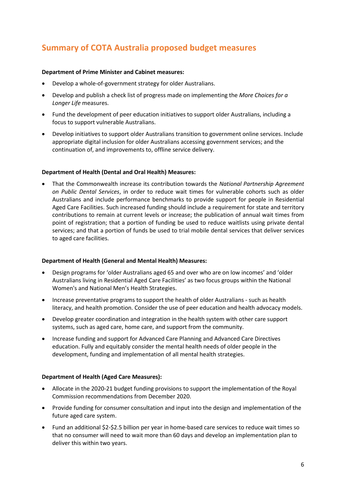# <span id="page-5-0"></span>**Summary of COTA Australia proposed budget measures**

#### **Department of Prime Minister and Cabinet measures:**

- Develop a whole-of-government strategy for older Australians.
- Develop and publish a check list of progress made on implementing the *More Choices for a Longer Life* measures.
- Fund the development of peer education initiatives to support older Australians, including a focus to support vulnerable Australians.
- Develop initiatives to support older Australians transition to government online services. Include appropriate digital inclusion for older Australians accessing government services; and the continuation of, and improvements to, offline service delivery.

#### **Department of Health (Dental and Oral Health) Measures:**

• That the Commonwealth increase its contribution towards the *National Partnership Agreement on Public Dental Services*, in order to reduce wait times for vulnerable cohorts such as older Australians and include performance benchmarks to provide support for people in Residential Aged Care Facilities. Such increased funding should include a requirement for state and territory contributions to remain at current levels or increase; the publication of annual wait times from point of registration; that a portion of funding be used to reduce waitlists using private dental services; and that a portion of funds be used to trial mobile dental services that deliver services to aged care facilities.

#### **Department of Health (General and Mental Health) Measures:**

- Design programs for 'older Australians aged 65 and over who are on low incomes' and 'older Australians living in Residential Aged Care Facilities' as two focus groups within the National Women's and National Men's Health Strategies.
- Increase preventative programs to support the health of older Australians such as health literacy, and health promotion. Consider the use of peer education and health advocacy models.
- Develop greater coordination and integration in the health system with other care support systems, such as aged care, home care, and support from the community.
- Increase funding and support for Advanced Care Planning and Advanced Care Directives education. Fully and equitably consider the mental health needs of older people in the development, funding and implementation of all mental health strategies.

#### **Department of Health (Aged Care Measures):**

- Allocate in the 2020-21 budget funding provisions to support the implementation of the Royal Commission recommendations from December 2020.
- Provide funding for consumer consultation and input into the design and implementation of the future aged care system.
- Fund an additional \$2-\$2.5 billion per year in home-based care services to reduce wait times so that no consumer will need to wait more than 60 days and develop an implementation plan to deliver this within two years.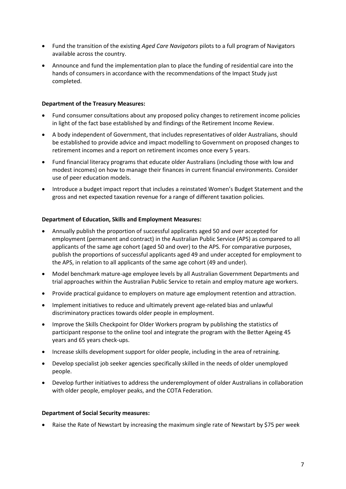- Fund the transition of the existing *Aged Care Navigators* pilots to a full program of Navigators available across the country.
- Announce and fund the implementation plan to place the funding of residential care into the hands of consumers in accordance with the recommendations of the Impact Study just completed.

#### **Department of the Treasury Measures:**

- Fund consumer consultations about any proposed policy changes to retirement income policies in light of the fact base established by and findings of the Retirement Income Review.
- A body independent of Government, that includes representatives of older Australians, should be established to provide advice and impact modelling to Government on proposed changes to retirement incomes and a report on retirement incomes once every 5 years.
- Fund financial literacy programs that educate older Australians (including those with low and modest incomes) on how to manage their finances in current financial environments. Consider use of peer education models.
- Introduce a budget impact report that includes a reinstated Women's Budget Statement and the gross and net expected taxation revenue for a range of different taxation policies.

#### **Department of Education, Skills and Employment Measures:**

- Annually publish the proportion of successful applicants aged 50 and over accepted for employment (permanent and contract) in the Australian Public Service (APS) as compared to all applicants of the same age cohort (aged 50 and over) to the APS. For comparative purposes, publish the proportions of successful applicants aged 49 and under accepted for employment to the APS, in relation to all applicants of the same age cohort (49 and under).
- Model benchmark mature-age employee levels by all Australian Government Departments and trial approaches within the Australian Public Service to retain and employ mature age workers.
- Provide practical guidance to employers on mature age employment retention and attraction.
- Implement initiatives to reduce and ultimately prevent age-related bias and unlawful discriminatory practices towards older people in employment.
- Improve the Skills Checkpoint for Older Workers program by publishing the statistics of participant response to the online tool and integrate the program with the Better Ageing 45 years and 65 years check-ups.
- Increase skills development support for older people, including in the area of retraining.
- Develop specialist job seeker agencies specifically skilled in the needs of older unemployed people.
- Develop further initiatives to address the underemployment of older Australians in collaboration with older people, employer peaks, and the COTA Federation.

#### **Department of Social Security measures:**

• Raise the Rate of Newstart by increasing the maximum single rate of Newstart by \$75 per week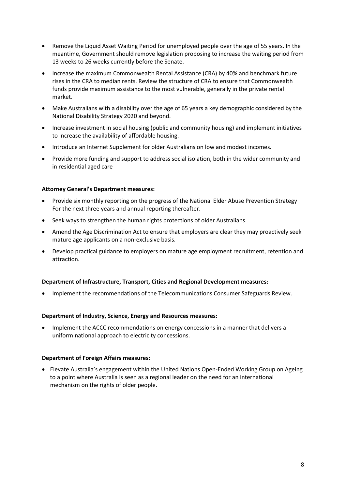- Remove the Liquid Asset Waiting Period for unemployed people over the age of 55 years. In the meantime, Government should remove legislation proposing to increase the waiting period from 13 weeks to 26 weeks currently before the Senate.
- Increase the maximum Commonwealth Rental Assistance (CRA) by 40% and benchmark future rises in the CRA to median rents. Review the structure of CRA to ensure that Commonwealth funds provide maximum assistance to the most vulnerable, generally in the private rental market.
- Make Australians with a disability over the age of 65 years a key demographic considered by the National Disability Strategy 2020 and beyond.
- Increase investment in social housing (public and community housing) and implement initiatives to increase the availability of affordable housing.
- Introduce an Internet Supplement for older Australians on low and modest incomes.
- Provide more funding and support to address social isolation, both in the wider community and in residential aged care

#### **Attorney General's Department measures:**

- Provide six monthly reporting on the progress of the National Elder Abuse Prevention Strategy For the next three years and annual reporting thereafter.
- Seek ways to strengthen the human rights protections of older Australians.
- Amend the Age Discrimination Act to ensure that employers are clear they may proactively seek mature age applicants on a non-exclusive basis.
- Develop practical guidance to employers on mature age employment recruitment, retention and attraction.

#### **Department of Infrastructure, Transport, Cities and Regional Development measures:**

• Implement the recommendations of the Telecommunications Consumer Safeguards Review.

#### **Department of Industry, Science, Energy and Resources measures:**

• Implement the ACCC recommendations on energy concessions in a manner that delivers a uniform national approach to electricity concessions.

#### **Department of Foreign Affairs measures:**

• Elevate Australia's engagement within the United Nations Open-Ended Working Group on Ageing to a point where Australia is seen as a regional leader on the need for an international mechanism on the rights of older people.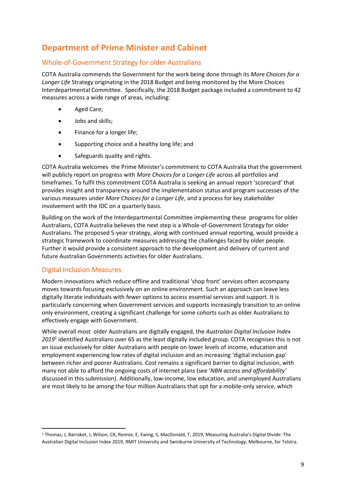# **Department of Prime Minister and Cabinet**

## <span id="page-8-0"></span>Whole-of-Government Strategy for older Australians

COTA Australia commends the Government for the work being done through its *More Choices for a Longer Life* Strategy originating in the 2018 Budget and being monitored by the More Choices Interdepartmental Committee. Specifically, the 2018 Budget package included a commitment to 42 measures across a wide range of areas, including:

- Aged Care;
- Jobs and skills;
- Finance for a longer life;
- Supporting choice and a healthy long life; and
- Safeguards quality and rights.

COTA Australia welcomes the Prime Minister's commitment to COTA Australia that the government will publicly report on progress with *More Choices for a Longer Life* across all portfolios and timeframes. To fulfil this commitment COTA Australia is seeking an annual report 'scorecard' that provides insight and transparency around the implementation status and program successes of the various measures under *More Choices for a Longer Life*, and a process for key stakeholder involvement with the IDC on a quarterly basis.

Building on the work of the Interdepartmental Committee implementing these programs for older Australians, COTA Australia believes the next step is a Whole-of-Government Strategy for older Australians. The proposed 5-year strategy, along with continued annual reporting, would provide a strategic framework to coordinate measures addressing the challenges faced by older people. Further it would provide a consistent approach to the development and delivery of current and future Australian Governments activities for older Australians.

# <span id="page-8-1"></span>Digital Inclusion Measures

Modern innovations which reduce offline and traditional 'shop front' services often accompany moves towards focusing exclusively on an online environment. Such an approach can leave less digitally literate individuals with fewer options to access essential services and support. It is particularly concerning when Government services and supports increasingly transition to an online only environment, creating a significant challenge for some cohorts such as older Australians to effectively engage with Government.

While overall most older Australians are digitally engaged, the *Australian Digital Inclusion Index 2019*<sup>1</sup> identified Australians over 65 as the least digitally included group. COTA recognises this is not an issue exclusively for older Australians with people on lower levels of income, education and employment experiencing low rates of digital inclusion and an increasing 'digital inclusion gap' between richer and poorer Australians. Cost remains a significant barrier to digital inclusion, with many not able to afford the ongoing costs of internet plans (see '*NBN access and affordability'* discussed in this submission). Additionally, low-income, low education, and unemployed Australians are most likely to be among the four million Australians that opt for a mobile-only service, which

<sup>1</sup> Thomas, J, Barraket, J, Wilson, CK, Rennie, E, Ewing, S, MacDonald, T, 2019, Measuring Australia's Digital Divide: The Australian Digital Inclusion Index 2019, RMIT University and Swinburne University of Technology, Melbourne, for Telstra.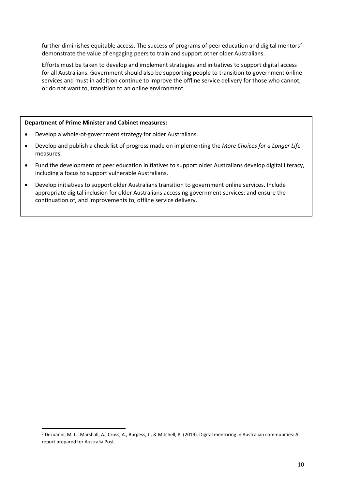further diminishes equitable access. The success of programs of peer education and digital mentors<sup>2</sup> demonstrate the value of engaging peers to train and support other older Australians.

Efforts must be taken to develop and implement strategies and initiatives to support digital access for all Australians. Government should also be supporting people to transition to government online services and must in addition continue to improve the offline service delivery for those who cannot, or do not want to, transition to an online environment.

#### **Department of Prime Minister and Cabinet measures:**

- Develop a whole-of-government strategy for older Australians.
- Develop and publish a check list of progress made on implementing the *More Choices for a Longer Life* measures.
- Fund the development of peer education initiatives to support older Australians develop digital literacy, including a focus to support vulnerable Australians.
- Develop initiatives to support older Australians transition to government online services. Include appropriate digital inclusion for older Australians accessing government services; and ensure the continuation of, and improvements to, offline service delivery.

<sup>2</sup> Dezuanni, M. L., Marshall, A., Cross, A., Burgess, J., & Mitchell, P. (2019). Digital mentoring in Australian communities: A report prepared for Australia Post.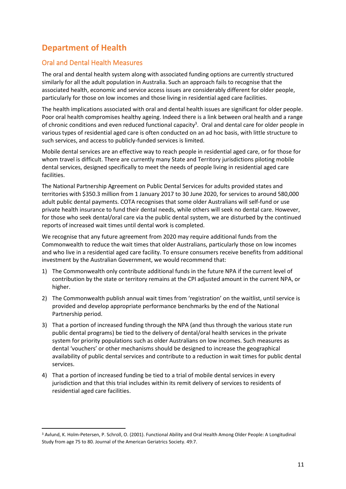# <span id="page-10-0"></span>**Department of Health**

## <span id="page-10-1"></span>Oral and Dental Health Measures

The oral and dental health system along with associated funding options are currently structured similarly for all the adult population in Australia. Such an approach fails to recognise that the associated health, economic and service access issues are considerably different for older people, particularly for those on low incomes and those living in residential aged care facilities.

The health implications associated with oral and dental health issues are significant for older people. Poor oral health compromises healthy ageing. Indeed there is a link between oral health and a range of chronic conditions and even reduced functional capacity<sup>3</sup>. Oral and dental care for older people in various types of residential aged care is often conducted on an ad hoc basis, with little structure to such services, and access to publicly-funded services is limited.

Mobile dental services are an effective way to reach people in residential aged care, or for those for whom travel is difficult. There are currently many State and Territory jurisdictions piloting mobile dental services, designed specifically to meet the needs of people living in residential aged care facilities.

The National Partnership Agreement on Public Dental Services for adults provided states and territories with \$350.3 million from 1 January 2017 to 30 June 2020, for services to around 580,000 adult public dental payments. COTA recognises that some older Australians will self-fund or use private health insurance to fund their dental needs, while others will seek no dental care. However, for those who seek dental/oral care via the public dental system, we are disturbed by the continued reports of increased wait times until dental work is completed.

We recognise that any future agreement from 2020 may require additional funds from the Commonwealth to reduce the wait times that older Australians, particularly those on low incomes and who live in a residential aged care facility. To ensure consumers receive benefits from additional investment by the Australian Government, we would recommend that:

- 1) The Commonwealth only contribute additional funds in the future NPA if the current level of contribution by the state or territory remains at the CPI adjusted amount in the current NPA, or higher.
- 2) The Commonwealth publish annual wait times from 'registration' on the waitlist, until service is provided and develop appropriate performance benchmarks by the end of the National Partnership period.
- 3) That a portion of increased funding through the NPA (and thus through the various state run public dental programs) be tied to the delivery of dental/oral health services in the private system for priority populations such as older Australians on low incomes. Such measures as dental 'vouchers' or other mechanisms should be designed to increase the geographical availability of public dental services and contribute to a reduction in wait times for public dental services.
- 4) That a portion of increased funding be tied to a trial of mobile dental services in every jurisdiction and that this trial includes within its remit delivery of services to residents of residential aged care facilities.

<sup>3</sup> Avlund, K. Holm-Petersen, P. Schroll, O. (2001). Functional Ability and Oral Health Among Older People: A Longitudinal Study from age 75 to 80. Journal of the American Geriatrics Society. 49:7.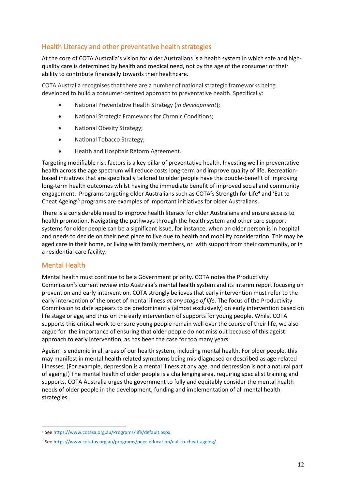## <span id="page-11-0"></span>Health Literacy and other preventative health strategies

At the core of COTA Australia's vision for older Australians is a health system in which safe and highquality care is determined by health and medical need, not by the age of the consumer or their ability to contribute financially towards their healthcare.

COTA Australia recognises that there are a number of national strategic frameworks being developed to build a consumer-centred approach to preventative health. Specifically:

- National Preventative Health Strategy (*in development*);
- National Strategic Framework for Chronic Conditions;
- National Obesity Strategy;
- National Tobacco Strategy;
- Health and Hospitals Reform Agreement.

Targeting modifiable risk factors is a key pillar of preventative health. Investing well in preventative health across the age spectrum will reduce costs long-term and improve quality of life. Recreationbased initiatives that are specifically tailored to older people have the double-benefit of improving long-term health outcomes whilst having the immediate benefit of improved social and community engagement. Programs targeting older Australians such as COTA's Strength for Life<sup>4</sup> and 'Eat to Cheat Ageing'<sup>5</sup> programs are examples of important initiatives for older Australians.

There is a considerable need to improve health literacy for older Australians and ensure access to health promotion. Navigating the pathways through the health system and other care support systems for older people can be a significant issue, for instance, when an older person is in hospital and needs to decide on their next place to live due to health and mobility consideration. This may be aged care in their home, or living with family members, or with support from their community, or in a residential care facility.

## <span id="page-11-1"></span>Mental Health

Mental health must continue to be a Government priority. COTA notes the Productivity Commission's current review into Australia's mental health system and its interim report focusing on prevention and early intervention. COTA strongly believes that early intervention must refer to the early intervention of the onset of mental illness *at any stage of life*. The focus of the Productivity Commission to date appears to be predominantly (almost exclusively) on early intervention based on life stage or age, and thus on the early intervention of supports for young people. Whilst COTA supports this critical work to ensure young people remain well over the course of their life, we also argue for the importance of ensuring that older people do not miss out because of this ageist approach to early intervention, as has been the case for too many years.

Ageism is endemic in all areas of our health system, including mental health. For older people, this may manifest in mental health related symptoms being mis-diagnosed or described as age-related illnesses. (For example, depression is a mental illness at any age, and depression is not a natural part of ageing!) The mental health of older people is a challenging area, requiring specialist training and supports. COTA Australia urges the government to fully and equitably consider the mental health needs of older people in the development, funding and implementation of all mental health strategies.

<sup>4</sup> Se[e https://www.cotasa.org.au/Programs/life/default.aspx](https://www.cotasa.org.au/Programs/life/default.aspx)

<sup>5</sup> Se[e https://www.cotatas.org.au/programs/peer-education/eat-to-cheat-ageing/](https://www.cotatas.org.au/programs/peer-education/eat-to-cheat-ageing/)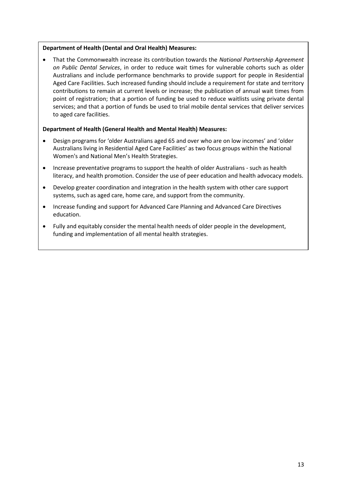#### **Department of Health (Dental and Oral Health) Measures:**

• That the Commonwealth increase its contribution towards the *National Partnership Agreement on Public Dental Services*, in order to reduce wait times for vulnerable cohorts such as older Australians and include performance benchmarks to provide support for people in Residential Aged Care Facilities. Such increased funding should include a requirement for state and territory contributions to remain at current levels or increase; the publication of annual wait times from point of registration; that a portion of funding be used to reduce waitlists using private dental services; and that a portion of funds be used to trial mobile dental services that deliver services to aged care facilities.

#### **Department of Health (General Health and Mental Health) Measures:**

- Design programs for 'older Australians aged 65 and over who are on low incomes' and 'older Australians living in Residential Aged Care Facilities' as two focus groups within the National Women's and National Men's Health Strategies.
- Increase preventative programs to support the health of older Australians such as health literacy, and health promotion. Consider the use of peer education and health advocacy models.
- Develop greater coordination and integration in the health system with other care support systems, such as aged care, home care, and support from the community.
- Increase funding and support for Advanced Care Planning and Advanced Care Directives education.
- Fully and equitably consider the mental health needs of older people in the development, funding and implementation of all mental health strategies.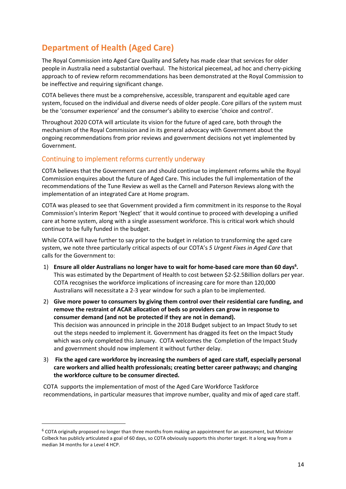# <span id="page-13-0"></span>**Department of Health (Aged Care)**

The Royal Commission into Aged Care Quality and Safety has made clear that services for older people in Australia need a substantial overhaul. The historical piecemeal, ad hoc and cherry-picking approach to of review reform recommendations has been demonstrated at the Royal Commission to be ineffective and requiring significant change.

COTA believes there must be a comprehensive, accessible, transparent and equitable aged care system, focused on the individual and diverse needs of older people. Core pillars of the system must be the 'consumer experience' and the consumer's ability to exercise 'choice and control'.

Throughout 2020 COTA will articulate its vision for the future of aged care, both through the mechanism of the Royal Commission and in its general advocacy with Government about the ongoing recommendations from prior reviews and government decisions not yet implemented by Government.

## <span id="page-13-1"></span>Continuing to implement reforms currently underway

COTA believes that the Government can and should continue to implement reforms while the Royal Commission enquires about the future of Aged Care. This includes the full implementation of the recommendations of the Tune Review as well as the Carnell and Paterson Reviews along with the implementation of an integrated Care at Home program.

COTA was pleased to see that Government provided a firm commitment in its response to the Royal Commission's Interim Report 'Neglect' that it would continue to proceed with developing a unified care at home system, along with a single assessment workforce. This is critical work which should continue to be fully funded in the budget.

While COTA will have further to say prior to the budget in relation to transforming the aged care system, we note three particularly critical aspects of our COTA's *5 Urgent Fixes in Aged Care* that calls for the Government to:

- 1) **Ensure all older Australians no longer have to wait for home-based care more than 60 days<sup>6</sup> .** This was estimated by the Department of Health to cost between \$2-\$2.5Billion dollars per year. COTA recognises the workforce implications of increasing care for more than 120,000 Australians will necessitate a 2-3 year window for such a plan to be implemented.
- 2) **Give more power to consumers by giving them control over their residential care funding, and remove the restraint of ACAR allocation of beds so providers can grow in response to consumer demand (and not be protected if they are not in demand).**  This decision was announced in principle in the 2018 Budget subject to an Impact Study to set out the steps needed to implement it. Government has dragged its feet on the Impact Study which was only completed this January. COTA welcomes the Completion of the Impact Study and government should now implement it without further delay.
- 3) **Fix the aged care workforce by increasing the numbers of aged care staff, especially personal care workers and allied health professionals; creating better career pathways; and changing the workforce culture to be consumer directed.**

COTA supports the implementation of most of the Aged Care Workforce Taskforce recommendations, in particular measures that improve number, quality and mix of aged care staff.

 $6$  COTA originally proposed no longer than three months from making an appointment for an assessment, but Minister Colbeck has publicly articulated a goal of 60 days, so COTA obviously supports this shorter target. It a long way from a median 34 months for a Level 4 HCP.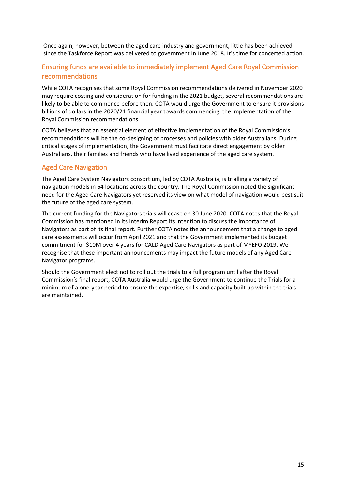Once again, however, between the aged care industry and government, little has been achieved since the Taskforce Report was delivered to government in June 2018. It's time for concerted action.

# <span id="page-14-0"></span>Ensuring funds are available to immediately implement Aged Care Royal Commission recommendations

While COTA recognises that some Royal Commission recommendations delivered in November 2020 may require costing and consideration for funding in the 2021 budget, several recommendations are likely to be able to commence before then. COTA would urge the Government to ensure it provisions billions of dollars in the 2020/21 financial year towards commencing the implementation of the Royal Commission recommendations.

COTA believes that an essential element of effective implementation of the Royal Commission's recommendations will be the co-designing of processes and policies with older Australians. During critical stages of implementation, the Government must facilitate direct engagement by older Australians, their families and friends who have lived experience of the aged care system.

# <span id="page-14-1"></span>Aged Care Navigation

The Aged Care System Navigators consortium, led by COTA Australia, is trialling a variety of navigation models in 64 locations across the country. The Royal Commission noted the significant need for the Aged Care Navigators yet reserved its view on what model of navigation would best suit the future of the aged care system.

The current funding for the Navigators trials will cease on 30 June 2020. COTA notes that the Royal Commission has mentioned in its Interim Report its intention to discuss the importance of Navigators as part of its final report. Further COTA notes the announcement that a change to aged care assessments will occur from April 2021 and that the Government implemented its budget commitment for \$10M over 4 years for CALD Aged Care Navigators as part of MYEFO 2019. We recognise that these important announcements may impact the future models of any Aged Care Navigator programs.

Should the Government elect not to roll out the trials to a full program until after the Royal Commission's final report, COTA Australia would urge the Government to continue the Trials for a minimum of a one-year period to ensure the expertise, skills and capacity built up within the trials are maintained.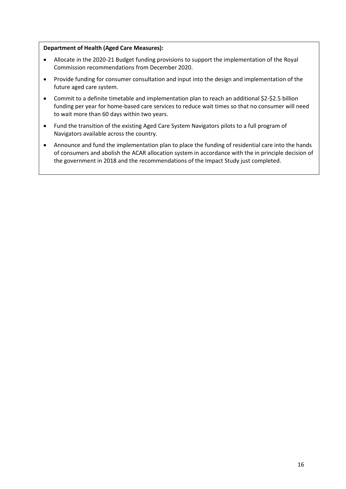#### **Department of Health (Aged Care Measures):**

- Allocate in the 2020-21 Budget funding provisions to support the implementation of the Royal Commission recommendations from December 2020.
- Provide funding for consumer consultation and input into the design and implementation of the future aged care system.
- Commit to a definite timetable and implementation plan to reach an additional \$2-\$2.5 billion funding per year for home-based care services to reduce wait times so that no consumer will need to wait more than 60 days within two years.
- Fund the transition of the existing Aged Care System Navigators pilots to a full program of Navigators available across the country.
- Announce and fund the implementation plan to place the funding of residential care into the hands of consumers and abolish the ACAR allocation system in accordance with the in principle decision of the government in 2018 and the recommendations of the Impact Study just completed.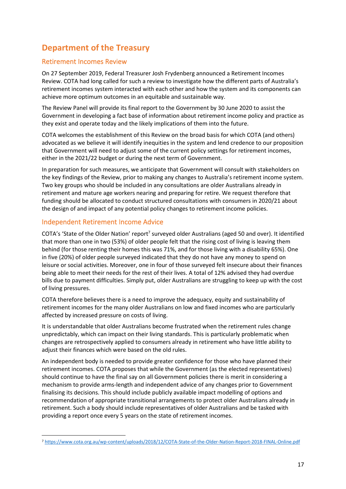# <span id="page-16-0"></span>**Department of the Treasury**

## <span id="page-16-1"></span>Retirement Incomes Review

On 27 September 2019, Federal Treasurer Josh Frydenberg announced a Retirement Incomes Review. COTA had long called for such a review to investigate how the different parts of Australia's retirement incomes system interacted with each other and how the system and its components can achieve more optimum outcomes in an equitable and sustainable way.

The Review Panel will provide its final report to the Government by 30 June 2020 to assist the Government in developing a fact base of information about retirement income policy and practice as they exist and operate today and the likely implications of them into the future.

COTA welcomes the establishment of this Review on the broad basis for which COTA (and others) advocated as we believe it will identify inequities in the system and lend credence to our proposition that Government will need to adjust some of the current policy settings for retirement incomes, either in the 2021/22 budget or during the next term of Government.

In preparation for such measures, we anticipate that Government will consult with stakeholders on the key findings of the Review, prior to making any changes to Australia's retirement income system. Two key groups who should be included in any consultations are older Australians already in retirement and mature age workers nearing and preparing for retire. We request therefore that funding should be allocated to conduct structured consultations with consumers in 2020/21 about the design of and impact of any potential policy changes to retirement income policies.

## <span id="page-16-2"></span>Independent Retirement Income Advice

COTA's 'State of the Older Nation' report<sup>7</sup> surveyed older Australians (aged 50 and over). It identified that more than one in two (53%) of older people felt that the rising cost of living is leaving them behind (for those renting their homes this was 71%, and for those living with a disability 65%). One in five (20%) of older people surveyed indicated that they do not have any money to spend on leisure or social activities. Moreover, one in four of those surveyed felt insecure about their finances being able to meet their needs for the rest of their lives. A total of 12% advised they had overdue bills due to payment difficulties. Simply put, older Australians are struggling to keep up with the cost of living pressures.

COTA therefore believes there is a need to improve the adequacy, equity and sustainability of retirement incomes for the many older Australians on low and fixed incomes who are particularly affected by increased pressure on costs of living.

It is understandable that older Australians become frustrated when the retirement rules change unpredictably, which can impact on their living standards. This is particularly problematic when changes are retrospectively applied to consumers already in retirement who have little ability to adjust their finances which were based on the old rules.

An independent body is needed to provide greater confidence for those who have planned their retirement incomes. COTA proposes that while the Government (as the elected representatives) should continue to have the final say on all Government policies there is merit in considering a mechanism to provide arms-length and independent advice of any changes prior to Government finalising its decisions. This should include publicly available impact modelling of options and recommendation of appropriate transitional arrangements to protect older Australians already in retirement. Such a body should include representatives of older Australians and be tasked with providing a report once every 5 years on the state of retirement incomes.

<sup>7</sup> <https://www.cota.org.au/wp-content/uploads/2018/12/COTA-State-of-the-Older-Nation-Report-2018-FINAL-Online.pdf>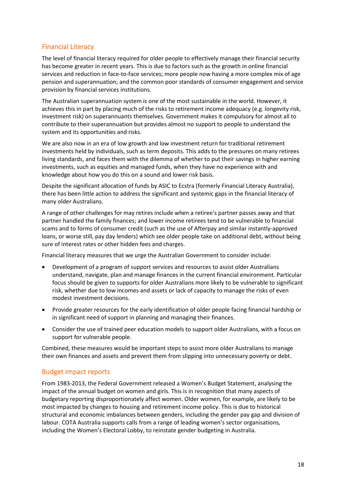# <span id="page-17-0"></span>Financial Literacy

The level of financial literacy required for older people to effectively manage their financial security has become greater in recent years. This is due to factors such as the growth in online financial services and reduction in face-to-face services; more people now having a more complex mix of age pension and superannuation; and the common poor standards of consumer engagement and service provision by financial services institutions.

The Australian superannuation system is one of the most sustainable in the world. However, it achieves this in part by placing much of the risks to retirement income adequacy (e.g. longevity risk, investment risk) on superannuants themselves. Government makes it compulsory for almost all to contribute to their superannuation but provides almost no support to people to understand the system and its opportunities and risks.

We are also now in an era of low growth and low investment return for traditional retirement investments held by individuals, such as term deposits. This adds to the pressures on many retirees living standards, and faces them with the dilemma of whether to put their savings in higher earning investments, such as equities and managed funds, when they have no experience with and knowledge about how you do this on a sound and lower risk basis.

Despite the significant allocation of funds by ASIC to Ecstra (formerly Financial Literacy Australia), there has been little action to address the significant and systemic gaps in the financial literacy of many older Australians.

A range of other challenges for may retires include when a retiree's partner passes away and that partner handled the family finances; and lower income retirees tend to be vulnerable to financial scams and to forms of consumer credit (such as the use of Afterpay and similar instantly-approved loans, or worse still, pay day lenders) which see older people take on additional debt, without being sure of interest rates or other hidden fees and charges.

Financial literacy measures that we urge the Australian Government to consider include:

- Development of a program of support services and resources to assist older Australians understand, navigate, plan and manage finances in the current financial environment. Particular focus should be given to supports for older Australians more likely to be vulnerable to significant risk, whether due to low incomes and assets or lack of capacity to manage the risks of even modest investment decisions.
- Provide greater resources for the early identification of older people facing financial hardship or in significant need of support in planning and managing their finances.
- Consider the use of trained peer education models to support older Australians, with a focus on support for vulnerable people.

Combined, these measures would be important steps to assist more older Australians to manage their own finances and assets and prevent them from slipping into unnecessary poverty or debt.

## <span id="page-17-1"></span>Budget impact reports

From 1983-2013, the Federal Government released a Women's Budget Statement, analysing the impact of the annual budget on women and girls. This is in recognition that many aspects of budgetary reporting disproportionately affect women. Older women, for example, are likely to be most impacted by changes to housing and retirement income policy. This is due to historical structural and economic imbalances between genders, including the gender pay gap and division of labour. COTA Australia supports calls from a range of leading women's sector organisations, including the Women's Electoral Lobby, to reinstate gender budgeting in Australia.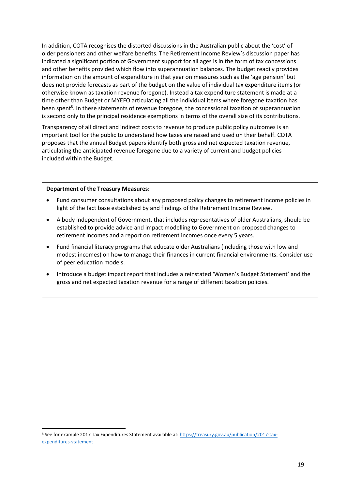In addition, COTA recognises the distorted discussions in the Australian public about the 'cost' of older pensioners and other welfare benefits. The Retirement Income Review's discussion paper has indicated a significant portion of Government support for all ages is in the form of tax concessions and other benefits provided which flow into superannuation balances. The budget readily provides information on the amount of expenditure in that year on measures such as the 'age pension' but does not provide forecasts as part of the budget on the value of individual tax expenditure items (or otherwise known as taxation revenue foregone). Instead a tax expenditure statement is made at a time other than Budget or MYEFO articulating all the individual items where foregone taxation has been spent<sup>8</sup>. In these statements of revenue foregone, the concessional taxation of superannuation is second only to the principal residence exemptions in terms of the overall size of its contributions.

Transparency of all direct and indirect costs to revenue to produce public policy outcomes is an important tool for the public to understand how taxes are raised and used on their behalf. COTA proposes that the annual Budget papers identify both gross and net expected taxation revenue, articulating the anticipated revenue foregone due to a variety of current and budget policies included within the Budget.

#### **Department of the Treasury Measures:**

- Fund consumer consultations about any proposed policy changes to retirement income policies in light of the fact base established by and findings of the Retirement Income Review.
- A body independent of Government, that includes representatives of older Australians, should be established to provide advice and impact modelling to Government on proposed changes to retirement incomes and a report on retirement incomes once every 5 years.
- Fund financial literacy programs that educate older Australians (including those with low and modest incomes) on how to manage their finances in current financial environments. Consider use of peer education models.
- Introduce a budget impact report that includes a reinstated 'Women's Budget Statement' and the gross and net expected taxation revenue for a range of different taxation policies.

<sup>8</sup> See for example 2017 Tax Expenditures Statement available at[: https://treasury.gov.au/publication/2017-tax](https://treasury.gov.au/publication/2017-tax-expenditures-statement)[expenditures-statement](https://treasury.gov.au/publication/2017-tax-expenditures-statement)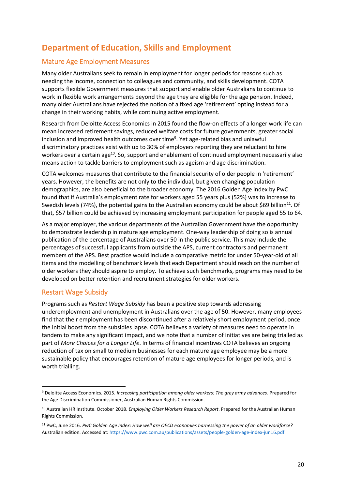# <span id="page-19-0"></span>**Department of Education, Skills and Employment**

## <span id="page-19-1"></span>Mature Age Employment Measures

Many older Australians seek to remain in employment for longer periods for reasons such as needing the income, connection to colleagues and community, and skills development. COTA supports flexible Government measures that support and enable older Australians to continue to work in flexible work arrangements beyond the age they are eligible for the age pension. Indeed, many older Australians have rejected the notion of a fixed age 'retirement' opting instead for a change in their working habits, while continuing active employment.

Research from Deloitte Access Economics in 2015 found the flow-on effects of a longer work life can mean increased retirement savings, reduced welfare costs for future governments, greater social inclusion and improved health outcomes over time<sup>9</sup>. Yet age-related bias and unlawful discriminatory practices exist with up to 30% of employers reporting they are reluctant to hire workers over a certain age<sup>10</sup>. So, support and enablement of continued employment necessarily also means action to tackle barriers to employment such as ageism and age discrimination.

COTA welcomes measures that contribute to the financial security of older people in 'retirement' years. However, the benefits are not only to the individual, but given changing population demographics, are also beneficial to the broader economy. The 2016 Golden Age index by PwC found that if Australia's employment rate for workers aged 55 years plus (52%) was to increase to Swedish levels (74%), the potential gains to the Australian economy could be about \$69 billion<sup>11</sup>. Of that, \$57 billion could be achieved by increasing employment participation for people aged 55 to 64.

As a major employer, the various departments of the Australian Government have the opportunity to demonstrate leadership in mature age employment. One-way leadership of doing so is annual publication of the percentage of Australians over 50 in the public service. This may include the percentages of successful applicants from outside the APS, current contractors and permanent members of the APS. Best practice would include a comparative metric for under 50-year-old of all items and the modelling of benchmark levels that each Department should reach on the number of older workers they should aspire to employ. To achieve such benchmarks, programs may need to be developed on better retention and recruitment strategies for older workers.

## <span id="page-19-2"></span>Restart Wage Subsidy

Programs such as *Restart Wage Subsidy* has been a positive step towards addressing underemployment and unemployment in Australians over the age of 50. However, many employees find that their employment has been discontinued after a relatively short employment period, once the initial boost from the subsidies lapse. COTA believes a variety of measures need to operate in tandem to make any significant impact, and we note that a number of initiatives are being trialled as part of *More Choices for a Longer Life*. In terms of financial incentives COTA believes an ongoing reduction of tax on small to medium businesses for each mature age employee may be a more sustainable policy that encourages retention of mature age employees for longer periods, and is worth trialling.

<sup>9</sup> Deloitte Access Economics. 2015. *Increasing participation among older workers: The grey army advances.* Prepared for the Age Discrimination Commissioner, Australian Human Rights Commission.

<sup>10</sup> Australian HR Institute. October 2018. *Employing Older Workers Research Report*. Prepared for the Australian Human Rights Commission.

<sup>11</sup> PwC, June 2016. *PwC Golden Age Index: How well are OECD economies harnessing the power of an older workforce?* Australian edition. Accessed at[: https://www.pwc.com.au/publications/assets/people-golden-age-index-jun16.pdf](https://www.pwc.com.au/publications/assets/people-golden-age-index-jun16.pdf)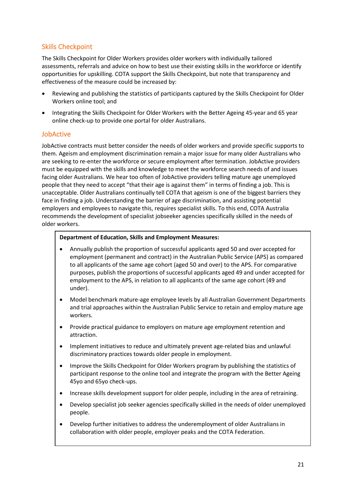# <span id="page-20-0"></span>Skills Checkpoint

The Skills Checkpoint for Older Workers provides older workers with individually tailored assessments, referrals and advice on how to best use their existing skills in the workforce or identify opportunities for upskilling. COTA support the Skills Checkpoint, but note that transparency and effectiveness of the measure could be increased by:

- Reviewing and publishing the statistics of participants captured by the Skills Checkpoint for Older Workers online tool; and
- Integrating the Skills Checkpoint for Older Workers with the Better Ageing 45-year and 65 year online check-up to provide one portal for older Australians.

## <span id="page-20-1"></span>JobActive

JobActive contracts must better consider the needs of older workers and provide specific supports to them. Ageism and employment discrimination remain a major issue for many older Australians who are seeking to re-enter the workforce or secure employment after termination. JobActive providers must be equipped with the skills and knowledge to meet the workforce search needs of and issues facing older Australians. We hear too often of JobActive providers telling mature age unemployed people that they need to accept "that their age is against them" in terms of finding a job. This is unacceptable. Older Australians continually tell COTA that ageism is one of the biggest barriers they face in finding a job. Understanding the barrier of age discrimination, and assisting potential employers and employees to navigate this, requires specialist skills. To this end, COTA Australia recommends the development of specialist jobseeker agencies specifically skilled in the needs of older workers.

#### **Department of Education, Skills and Employment Measures:**

- Annually publish the proportion of successful applicants aged 50 and over accepted for employment (permanent and contract) in the Australian Public Service (APS) as compared to all applicants of the same age cohort (aged 50 and over) to the APS. For comparative purposes, publish the proportions of successful applicants aged 49 and under accepted for employment to the APS, in relation to all applicants of the same age cohort (49 and under).
- Model benchmark mature-age employee levels by all Australian Government Departments and trial approaches within the Australian Public Service to retain and employ mature age workers.
- Provide practical guidance to employers on mature age employment retention and attraction.
- Implement initiatives to reduce and ultimately prevent age-related bias and unlawful discriminatory practices towards older people in employment.
- Improve the Skills Checkpoint for Older Workers program by publishing the statistics of participant response to the online tool and integrate the program with the Better Ageing 45yo and 65yo check-ups.
- Increase skills development support for older people, including in the area of retraining.
- Develop specialist job seeker agencies specifically skilled in the needs of older unemployed people.
- Develop further initiatives to address the underemployment of older Australians in collaboration with older people, employer peaks and the COTA Federation.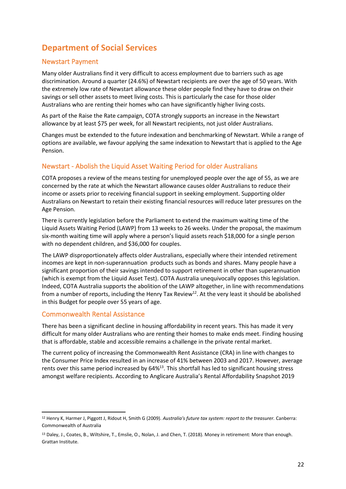# **Department of Social Services**

## <span id="page-21-0"></span>Newstart Payment

Many older Australians find it very difficult to access employment due to barriers such as age discrimination. Around a quarter (24.6%) of Newstart recipients are over the age of 50 years. With the extremely low rate of Newstart allowance these older people find they have to draw on their savings or sell other assets to meet living costs. This is particularly the case for those older Australians who are renting their homes who can have significantly higher living costs.

As part of the Raise the Rate campaign, COTA strongly supports an increase in the Newstart allowance by at least \$75 per week, for all Newstart recipients, not just older Australians.

Changes must be extended to the future indexation and benchmarking of Newstart. While a range of options are available, we favour applying the same indexation to Newstart that is applied to the Age Pension.

# <span id="page-21-1"></span>Newstart - Abolish the Liquid Asset Waiting Period for older Australians

COTA proposes a review of the means testing for unemployed people over the age of 55, as we are concerned by the rate at which the Newstart allowance causes older Australians to reduce their income or assets prior to receiving financial support in seeking employment. Supporting older Australians on Newstart to retain their existing financial resources will reduce later pressures on the Age Pension.

There is currently legislation before the Parliament to extend the maximum waiting time of the Liquid Assets Waiting Period (LAWP) from 13 weeks to 26 weeks. Under the proposal, the maximum six-month waiting time will apply where a person's liquid assets reach \$18,000 for a single person with no dependent children, and \$36,000 for couples.

The LAWP disproportionately affects older Australians, especially where their intended retirement incomes are kept in non-superannuation products such as bonds and shares. Many people have a significant proportion of their savings intended to support retirement in other than superannuation (which is exempt from the Liquid Asset Test). COTA Australia unequivocally opposes this legislation. Indeed, COTA Australia supports the abolition of the LAWP altogether, in line with recommendations from a number of reports, including the Henry Tax Review<sup>12</sup>. At the very least it should be abolished in this Budget for people over 55 years of age.

## <span id="page-21-2"></span>Commonwealth Rental Assistance

There has been a significant decline in housing affordability in recent years. This has made it very difficult for many older Australians who are renting their homes to make ends meet. Finding housing that is affordable, stable and accessible remains a challenge in the private rental market.

The current policy of increasing the Commonwealth Rent Assistance (CRA) in line with changes to the Consumer Price Index resulted in an increase of 41% between 2003 and 2017. However, average rents over this same period increased by 64%<sup>13</sup>. This shortfall has led to significant housing stress amongst welfare recipients. According to Anglicare Australia's Rental Affordability Snapshot 2019

<sup>12</sup> Henry K, Harmer J, Piggott J, Ridout H, Smith G (2009). *Australia's future tax system: report to the treasurer.* Canberra: Commonwealth of Australia

<sup>13</sup> Daley, J., Coates, B., Wiltshire, T., Emslie, O., Nolan, J. and Chen, T. (2018). Money in retirement: More than enough. Grattan Institute.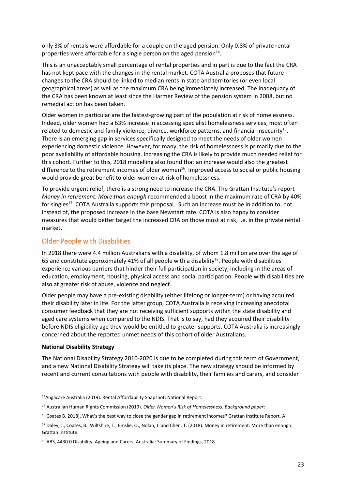only 3% of rentals were affordable for a couple on the aged pension. Only 0.8% of private rental properties were affordable for a single person on the aged pension $14$ .

This is an unacceptably small percentage of rental properties and in part is due to the fact the CRA has not kept pace with the changes in the rental market. COTA Australia proposes that future changes to the CRA should be linked to median rents in state and territories (or even local geographical areas) as well as the maximum CRA being immediately increased. The inadequacy of the CRA has been known at least since the Harmer Review of the pension system in 2008, but no remedial action has been taken.

Older women in particular are the fastest-growing part of the population at risk of homelessness. Indeed, older women had a 63% increase in accessing specialist homelessness services, most often related to domestic and family violence, divorce, workforce patterns, and financial insecurity<sup>15</sup>. There is an emerging gap in services specifically designed to meet the needs of older women experiencing domestic violence. However, for many, the risk of homelessness is primarily due to the poor availability of affordable housing. Increasing the CRA is likely to provide much needed relief for this cohort. Further to this, 2018 modelling also found that an increase would also the greatest difference to the retirement incomes of older women<sup>16</sup>. Improved access to social or public housing would provide great benefit to older women at risk of homelessness.

To provide urgent relief, there is a strong need to increase the CRA. The Grattan Institute's report *Money in retirement: More than enough* recommended a boost in the maximum rate of CRA by 40% for singles<sup>17</sup>. COTA Australia supports this proposal. Such an increase must be in addition to, not instead of, the proposed increase in the base Newstart rate. COTA is also happy to consider measures that would better target the increased CRA on those most at risk, i.e. in the private rental market.

#### <span id="page-22-0"></span>Older People with Disabilities

In 2018 there were 4.4 million Australians with a disability, of whom 1.8 million are over the age of 65 and constitute approximately 41% of all people with a disability<sup>18</sup>. People with disabilities experience various barriers that hinder their full participation in society, including in the areas of education, employment, housing, physical access and social participation. People with disabilities are also at greater risk of abuse, violence and neglect.

Older people may have a pre-existing disability (either lifelong or longer-term) or having acquired their disability later in life. For the latter group, COTA Australia is receiving increasing anecdotal consumer feedback that they are not receiving sufficient supports within the state disability and aged care systems when compared to the NDIS. That is to say, had they acquired their disability before NDIS eligibility age they would be entitled to greater supports. COTA Australia is increasingly concerned about the reported unmet needs of this cohort of older Australians.

#### **National Disability Strategy**

The National Disability Strategy 2010-2020 is due to be completed during this term of Government, and a new National Disability Strategy will take its place. The new strategy should be informed by recent and current consultations with people with disability, their families and carers, and consider

<sup>14</sup>Anglicare Australia (2019). Rental Affordability Snapshot: National Report.

<sup>15</sup> Australian Human Rights Commission (2019). *Older Women's Risk of Homelessness: Background paper*:

<sup>&</sup>lt;sup>16</sup> Coates B. 2018). What's the best way to close the gender gap in retirement incomes? Grattan Institute Report. A

<sup>17</sup> Daley, J., Coates, B., Wiltshire, T., Emslie, O., Nolan, J. and Chen, T. (2018). Money in retirement: More than enough. Grattan Institute.

<sup>18</sup> ABS, 4430.0 Disability, Ageing and Carers, Australia: Summary of Findings, 2018.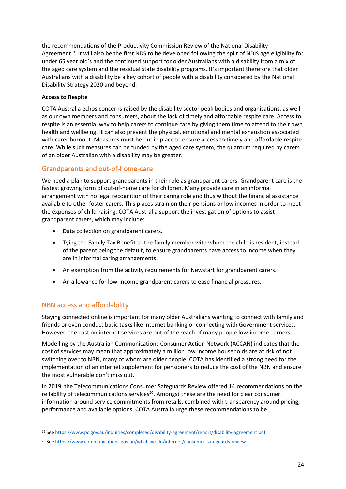the recommendations of the Productivity Commission Review of the National Disability Agreement<sup>19</sup>. It will also be the first NDS to be developed following the split of NDIS age eligibility for under 65 year old's and the continued support for older Australians with a disability from a mix of the aged care system and the residual state disability programs. It's important therefore that older Australians with a disability be a key cohort of people with a disability considered by the National Disability Strategy 2020 and beyond.

#### **Access to Respite**

COTA Australia echos concerns raised by the disability sector peak bodies and organisations, as well as our own members and consumers, about the lack of timely and affordable respite care. Access to respite is an essential way to help carers to continue care by giving them time to attend to their own health and wellbeing. It can also prevent the physical, emotional and mental exhaustion associated with carer burnout. Measures must be put in place to ensure access to timely and affordable respite care. While such measures can be funded by the aged care system, the quantum required by carers of an older Australian with a disability may be greater.

# <span id="page-23-0"></span>Grandparents and out-of-home-care

We need a plan to support grandparents in their role as grandparent carers. Grandparent care is the fastest growing form of out-of-home care for children. Many provide care in an informal arrangement with no legal recognition of their caring role and thus without the financial assistance available to other foster carers. This places strain on their pensions or low incomes in order to meet the expenses of child-raising. COTA Australia support the investigation of options to assist grandparent carers, which may include:

- Data collection on grandparent carers.
- Tying the Family Tax Benefit to the family member with whom the child is resident, instead of the parent being the default, to ensure grandparents have access to income when they are in informal caring arrangements.
- An exemption from the activity requirements for Newstart for grandparent carers.
- An allowance for low-income grandparent carers to ease financial pressures.

# <span id="page-23-1"></span>NBN access and affordability

Staying connected online is important for many older Australians wanting to connect with family and friends or even conduct basic tasks like internet banking or connecting with Government services. However, the cost on internet services are out of the reach of many people low-income earners.

Modelling by the Australian Communications Consumer Action Network (ACCAN) indicates that the cost of services may mean that approximately a million low income households are at risk of not switching over to NBN, many of whom are older people. COTA has identified a strong need for the implementation of an internet supplement for pensioners to reduce the cost of the NBN and ensure the most vulnerable don't miss out.

In 2019, the Telecommunications Consumer Safeguards Review offered 14 recommendations on the reliability of telecommunications services<sup>20</sup>. Amongst these are the need for clear consumer information around service commitments from retails, combined with transparency around pricing, performance and available options. COTA Australia urge these recommendations to be

<sup>19</sup> Se[e https://www.pc.gov.au/inquiries/completed/disability-agreement/report/disability-agreement.pdf](https://www.pc.gov.au/inquiries/completed/disability-agreement/report/disability-agreement.pdf)

<sup>20</sup> Se[e https://www.communications.gov.au/what-we-do/internet/consumer-safeguards-review](https://www.communications.gov.au/what-we-do/internet/consumer-safeguards-review)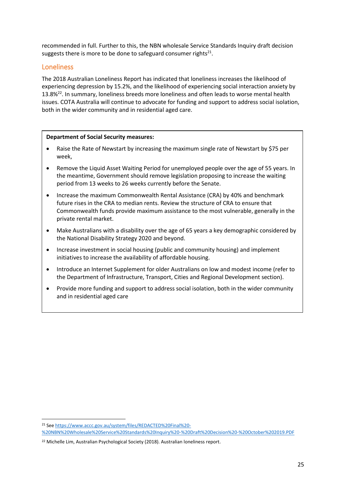recommended in full. Further to this, the NBN wholesale Service Standards Inquiry draft decision suggests there is more to be done to safeguard consumer rights<sup>21</sup>.

#### <span id="page-24-0"></span>Loneliness

The 2018 Australian Loneliness Report has indicated that loneliness increases the likelihood of experiencing depression by 15.2%, and the likelihood of experiencing social interaction anxiety by 13.8%<sup>22</sup>. In summary, loneliness breeds more loneliness and often leads to worse mental health issues. COTA Australia will continue to advocate for funding and support to address social isolation, both in the wider community and in residential aged care.

#### **Department of Social Security measures:**

- Raise the Rate of Newstart by increasing the maximum single rate of Newstart by \$75 per week,
- Remove the Liquid Asset Waiting Period for unemployed people over the age of 55 years. In the meantime, Government should remove legislation proposing to increase the waiting period from 13 weeks to 26 weeks currently before the Senate.
- Increase the maximum Commonwealth Rental Assistance (CRA) by 40% and benchmark future rises in the CRA to median rents. Review the structure of CRA to ensure that Commonwealth funds provide maximum assistance to the most vulnerable, generally in the private rental market.
- Make Australians with a disability over the age of 65 years a key demographic considered by the National Disability Strategy 2020 and beyond.
- Increase investment in social housing (public and community housing) and implement initiatives to increase the availability of affordable housing.
- Introduce an Internet Supplement for older Australians on low and modest income (refer to the Department of Infrastructure, Transport, Cities and Regional Development section).
- Provide more funding and support to address social isolation, both in the wider community and in residential aged care

<sup>21</sup> Se[e https://www.accc.gov.au/system/files/REDACTED%20Final%20-](https://www.accc.gov.au/system/files/REDACTED%20Final%20-%20NBN%20Wholesale%20Service%20Standards%20Inquiry%20-%20Draft%20Decision%20-%20October%202019.PDF)

[<sup>%20</sup>NBN%20Wholesale%20Service%20Standards%20Inquiry%20-%20Draft%20Decision%20-%20October%202019.PDF](https://www.accc.gov.au/system/files/REDACTED%20Final%20-%20NBN%20Wholesale%20Service%20Standards%20Inquiry%20-%20Draft%20Decision%20-%20October%202019.PDF)

<sup>&</sup>lt;sup>22</sup> Michelle Lim, Australian Psychological Society (2018). Australian loneliness report.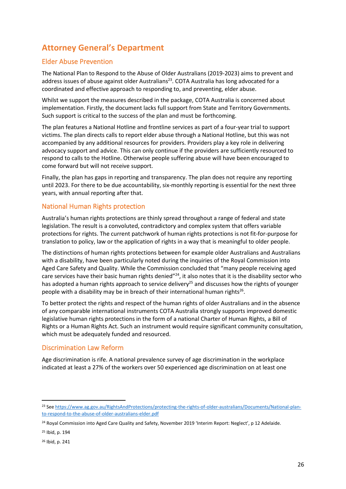# <span id="page-25-0"></span>**Attorney General's Department**

## <span id="page-25-1"></span>Elder Abuse Prevention

The National Plan to Respond to the Abuse of Older Australians (2019-2023) aims to prevent and address issues of abuse against older Australians<sup>23</sup>. COTA Australia has long advocated for a coordinated and effective approach to responding to, and preventing, elder abuse.

Whilst we support the measures described in the package, COTA Australia is concerned about implementation. Firstly, the document lacks full support from State and Territory Governments. Such support is critical to the success of the plan and must be forthcoming.

The plan features a National Hotline and frontline services as part of a four-year trial to support victims. The plan directs calls to report elder abuse through a National Hotline, but this was not accompanied by any additional resources for providers. Providers play a key role in delivering advocacy support and advice. This can only continue if the providers are sufficiently resourced to respond to calls to the Hotline. Otherwise people suffering abuse will have been encouraged to come forward but will not receive support.

Finally, the plan has gaps in reporting and transparency. The plan does not require any reporting until 2023. For there to be due accountability, six-monthly reporting is essential for the next three years, with annual reporting after that.

## <span id="page-25-2"></span>National Human Rights protection

Australia's human rights protections are thinly spread throughout a range of federal and state legislation. The result is a convoluted, contradictory and complex system that offers variable protections for rights. The current patchwork of human rights protections is not fit-for-purpose for translation to policy, law or the application of rights in a way that is meaningful to older people.

The distinctions of human rights protections between for example older Australians and Australians with a disability, have been particularly noted during the inquiries of the Royal Commission into Aged Care Safety and Quality. While the Commission concluded that "many people receiving aged care services have their basic human rights denied"<sup>24</sup>, it also notes that it is the disability sector who has adopted a human rights approach to service delivery<sup>25</sup> and discusses how the rights of younger people with a disability may be in breach of their international human rights<sup>26</sup>.

To better protect the rights and respect of the human rights of older Australians and in the absence of any comparable international instruments COTA Australia strongly supports improved domestic legislative human rights protections in the form of a national Charter of Human Rights, a Bill of Rights or a Human Rights Act. Such an instrument would require significant community consultation, which must be adequately funded and resourced.

## <span id="page-25-3"></span>Discrimination Law Reform

Age discrimination is rife. A national prevalence survey of age discrimination in the workplace indicated at least a 27% of the workers over 50 experienced age discrimination on at least one

<sup>25</sup> Ibid, p. 194

<sup>26</sup> Ibid, p. 241

<sup>&</sup>lt;sup>23</sup> Se[e https://www.ag.gov.au/RightsAndProtections/protecting-the-rights-of-older-australians/Documents/National-plan](https://www.ag.gov.au/RightsAndProtections/protecting-the-rights-of-older-australians/Documents/National-plan-to-respond-to-the-abuse-of-older-australians-elder.pdf)[to-respond-to-the-abuse-of-older-australians-elder.pdf](https://www.ag.gov.au/RightsAndProtections/protecting-the-rights-of-older-australians/Documents/National-plan-to-respond-to-the-abuse-of-older-australians-elder.pdf)

<sup>&</sup>lt;sup>24</sup> Royal Commission into Aged Care Quality and Safety, November 2019 'Interim Report: Neglect', p 12 Adelaide.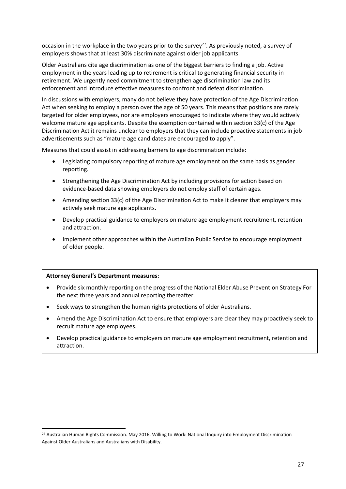occasion in the workplace in the two years prior to the survey<sup>27</sup>. As previously noted, a survey of employers shows that at least 30% discriminate against older job applicants.

Older Australians cite age discrimination as one of the biggest barriers to finding a job. Active employment in the years leading up to retirement is critical to generating financial security in retirement. We urgently need commitment to strengthen age discrimination law and its enforcement and introduce effective measures to confront and defeat discrimination.

In discussions with employers, many do not believe they have protection of the Age Discrimination Act when seeking to employ a person over the age of 50 years. This means that positions are rarely targeted for older employees, nor are employers encouraged to indicate where they would actively welcome mature age applicants. Despite the exemption contained within section 33(c) of the Age Discrimination Act it remains unclear to employers that they can include proactive statements in job advertisements such as "mature age candidates are encouraged to apply".

Measures that could assist in addressing barriers to age discrimination include:

- Legislating compulsory reporting of mature age employment on the same basis as gender reporting.
- Strengthening the Age Discrimination Act by including provisions for action based on evidence-based data showing employers do not employ staff of certain ages.
- Amending section 33(c) of the Age Discrimination Act to make it clearer that employers may actively seek mature age applicants.
- Develop practical guidance to employers on mature age employment recruitment, retention and attraction.
- Implement other approaches within the Australian Public Service to encourage employment of older people.

#### **Attorney General's Department measures:**

- Provide six monthly reporting on the progress of the National Elder Abuse Prevention Strategy For the next three years and annual reporting thereafter.
- Seek ways to strengthen the human rights protections of older Australians.
- Amend the Age Discrimination Act to ensure that employers are clear they may proactively seek to recruit mature age employees.
- Develop practical guidance to employers on mature age employment recruitment, retention and attraction.

<sup>&</sup>lt;sup>27</sup> Australian Human Rights Commission. May 2016. Willing to Work: National Inquiry into Employment Discrimination Against Older Australians and Australians with Disability.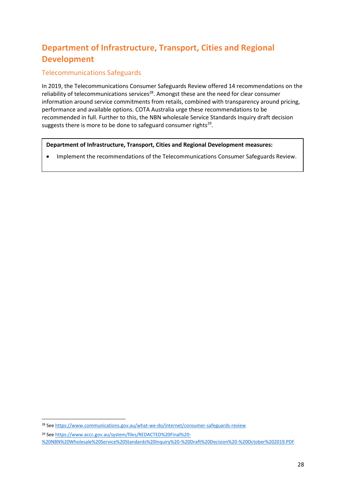# <span id="page-27-0"></span>**Department of Infrastructure, Transport, Cities and Regional Development**

## Telecommunications Safeguards

In 2019, the Telecommunications Consumer Safeguards Review offered 14 recommendations on the reliability of telecommunications services<sup>28</sup>. Amongst these are the need for clear consumer information around service commitments from retails, combined with transparency around pricing, performance and available options. COTA Australia urge these recommendations to be recommended in full. Further to this, the NBN wholesale Service Standards Inquiry draft decision suggests there is more to be done to safeguard consumer rights<sup>29</sup>.

**Department of Infrastructure, Transport, Cities and Regional Development measures:**

• Implement the recommendations of the Telecommunications Consumer Safeguards Review.

<sup>&</sup>lt;sup>28</sup> Se[e https://www.communications.gov.au/what-we-do/internet/consumer-safeguards-review](https://www.communications.gov.au/what-we-do/internet/consumer-safeguards-review)

<sup>29</sup> Se[e https://www.accc.gov.au/system/files/REDACTED%20Final%20-](https://www.accc.gov.au/system/files/REDACTED%20Final%20-%20NBN%20Wholesale%20Service%20Standards%20Inquiry%20-%20Draft%20Decision%20-%20October%202019.PDF)

[<sup>%20</sup>NBN%20Wholesale%20Service%20Standards%20Inquiry%20-%20Draft%20Decision%20-%20October%202019.PDF](https://www.accc.gov.au/system/files/REDACTED%20Final%20-%20NBN%20Wholesale%20Service%20Standards%20Inquiry%20-%20Draft%20Decision%20-%20October%202019.PDF)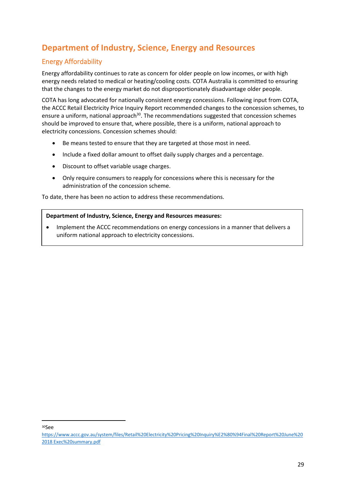# <span id="page-28-0"></span>**Department of Industry, Science, Energy and Resources**

# <span id="page-28-1"></span>Energy Affordability

Energy affordability continues to rate as concern for older people on low incomes, or with high energy needs related to medical or heating/cooling costs. COTA Australia is committed to ensuring that the changes to the energy market do not disproportionately disadvantage older people.

COTA has long advocated for nationally consistent energy concessions. Following input from COTA, the ACCC Retail Electricity Price Inquiry Report recommended changes to the concession schemes, to ensure a uniform, national approach<sup>30</sup>. The recommendations suggested that concession schemes should be improved to ensure that, where possible, there is a uniform, national approach to electricity concessions. Concession schemes should:

- Be means tested to ensure that they are targeted at those most in need.
- Include a fixed dollar amount to offset daily supply charges and a percentage.
- Discount to offset variable usage charges.
- Only require consumers to reapply for concessions where this is necessary for the administration of the concession scheme.

To date, there has been no action to address these recommendations.

#### **Department of Industry, Science, Energy and Resources measures:**

• Implement the ACCC recommendations on energy concessions in a manner that delivers a uniform national approach to electricity concessions.

<sup>30</sup>See

[https://www.accc.gov.au/system/files/Retail%20Electricity%20Pricing%20Inquiry%E2%80%94Final%20Report%20June%20](https://www.accc.gov.au/system/files/Retail%20Electricity%20Pricing%20Inquiry%E2%80%94Final%20Report%20June%202018%20Exec%20summary.pdf) 2018 [Exec%20summary.pdf](https://www.accc.gov.au/system/files/Retail%20Electricity%20Pricing%20Inquiry%E2%80%94Final%20Report%20June%202018%20Exec%20summary.pdf)